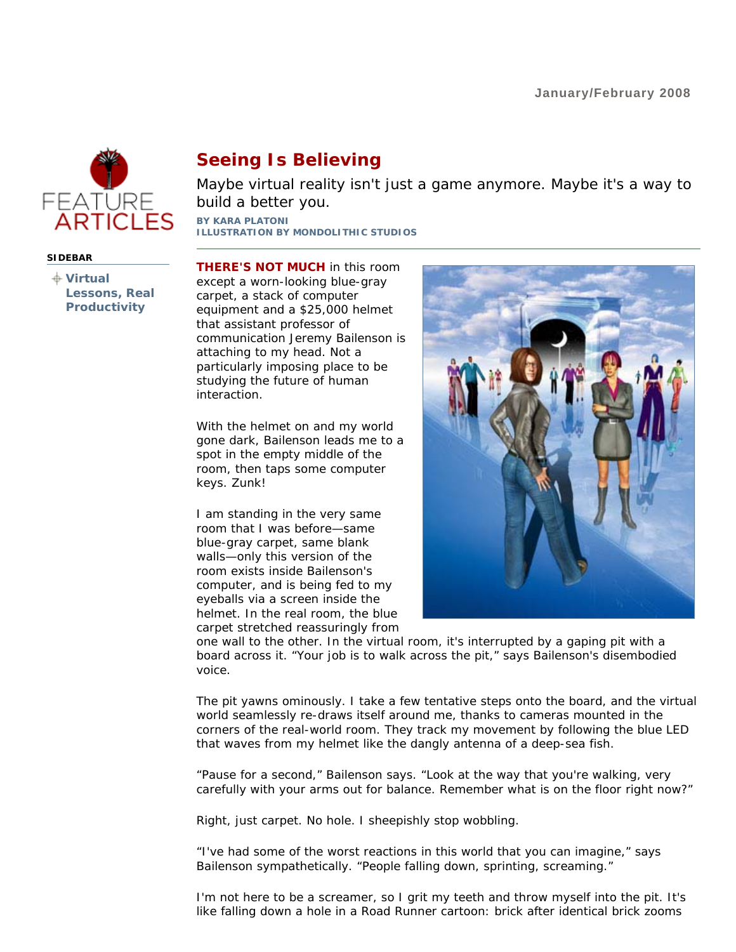

## **SIDEBAR**

**Virtual Lessons, Real Productivity** 

## **Seeing Is Believing**

Maybe virtual reality isn't just a game anymore. Maybe it's a way to build a better you.

**BY KARA PLATONI ILLUSTRATION BY MONDOLITHIC STUDIOS**

## **THERE'S NOT MUCH** in this room

except a worn-looking blue-gray carpet, a stack of computer equipment and a \$25,000 helmet that assistant professor of communication Jeremy Bailenson is attaching to my head. Not a particularly imposing place to be studying the future of human interaction.

With the helmet on and my world gone dark, Bailenson leads me to a spot in the empty middle of the room, then taps some computer keys. Zunk!

I am standing in the very same room that I was before—same blue-gray carpet, same blank walls—only this version of the room exists inside Bailenson's computer, and is being fed to my eyeballs via a screen inside the helmet. In the real room, the blue carpet stretched reassuringly from



one wall to the other. In the virtual room, it's interrupted by a gaping pit with a board across it. "Your job is to walk across the pit," says Bailenson's disembodied voice.

The pit yawns ominously. I take a few tentative steps onto the board, and the virtual world seamlessly re-draws itself around me, thanks to cameras mounted in the corners of the real-world room. They track my movement by following the blue LED that waves from my helmet like the dangly antenna of a deep-sea fish.

"Pause for a second," Bailenson says. "Look at the way that you're walking, very carefully with your arms out for balance. Remember what is on the floor right now?"

Right, just carpet. No hole. I sheepishly stop wobbling.

"I've had some of the worst reactions in this world that you can imagine," says Bailenson sympathetically. "People falling down, sprinting, screaming."

I'm not here to be a screamer, so I grit my teeth and throw myself into the pit. It's like falling down a hole in a Road Runner cartoon: brick after identical brick zooms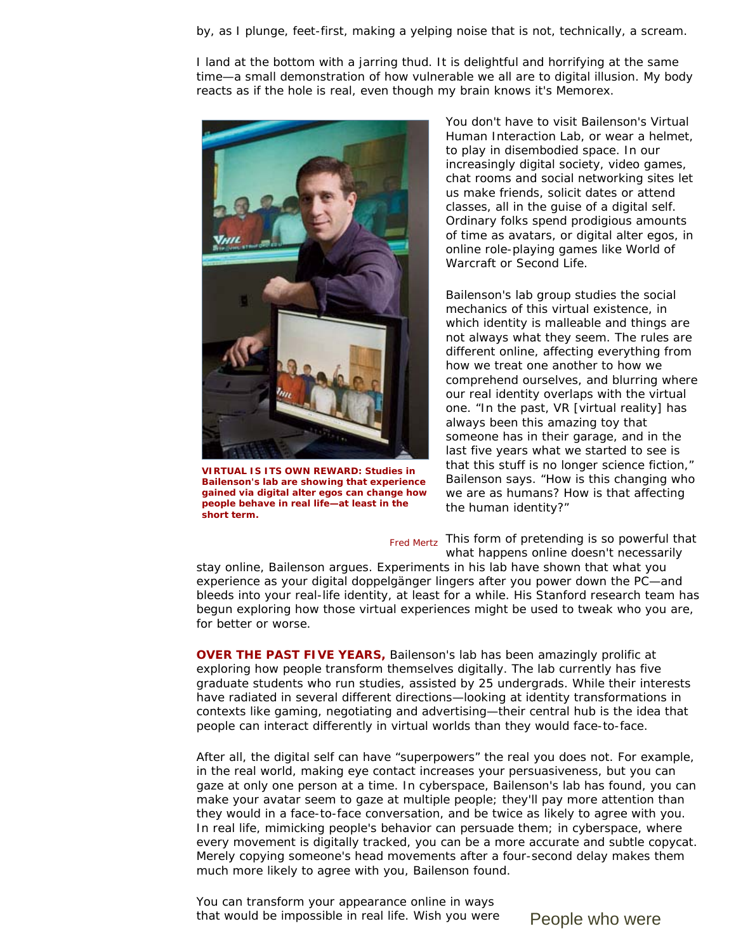by, as I plunge, feet-first, making a yelping noise that is not, technically, a scream.

I land at the bottom with a jarring thud. It is delightful and horrifying at the same time—a small demonstration of how vulnerable we all are to digital illusion. My body reacts as if the hole is real, even though my brain knows it's Memorex.



**VIRTUAL IS ITS OWN REWARD: Studies in Bailenson's lab are showing that experience gained via digital alter egos can change how people behave in real life—at least in the short term.** 

You don't have to visit Bailenson's Virtual Human Interaction Lab, or wear a helmet, to play in disembodied space. In our increasingly digital society, video games, chat rooms and social networking sites let us make friends, solicit dates or attend classes, all in the guise of a digital self. Ordinary folks spend prodigious amounts of time as avatars, or digital alter egos, in online role-playing games like World of Warcraft or Second Life.

Bailenson's lab group studies the social mechanics of this virtual existence, in which identity is malleable and things are not always what they seem. The rules are different online, affecting everything from how we treat one another to how we comprehend ourselves, and blurring where our real identity overlaps with the virtual one. "In the past, VR [virtual reality] has always been this amazing toy that someone has in their garage, and in the last five years what we started to see is that this stuff is no longer science fiction," Bailenson says. "How is this changing who we are as humans? How is that affecting the human identity?"

Fred Mertz This form of pretending is so powerful that what happens online doesn't necessarily

stay online, Bailenson argues. Experiments in his lab have shown that what you experience as your digital doppelgänger lingers after you power down the PC—and bleeds into your real-life identity, at least for a while. His Stanford research team has begun exploring how those virtual experiences might be used to tweak who you are, for better or worse.

**OVER THE PAST FIVE YEARS,** Bailenson's lab has been amazingly prolific at exploring how people transform themselves digitally. The lab currently has five graduate students who run studies, assisted by 25 undergrads. While their interests have radiated in several different directions—looking at identity transformations in contexts like gaming, negotiating and advertising—their central hub is the idea that people can interact differently in virtual worlds than they would face-to-face.

After all, the digital self can have "superpowers" the real you does not. For example, in the real world, making eye contact increases your persuasiveness, but you can gaze at only one person at a time. In cyberspace, Bailenson's lab has found, you can make your avatar seem to gaze at multiple people; they'll pay more attention than they would in a face-to-face conversation, and be twice as likely to agree with you. In real life, mimicking people's behavior can persuade them; in cyberspace, where every movement is digitally tracked, you can be a more accurate and subtle copycat. Merely copying someone's head movements after a four-second delay makes them much more likely to agree with you, Bailenson found.

You can transform your appearance online in ways that would be impossible in real life. Wish you were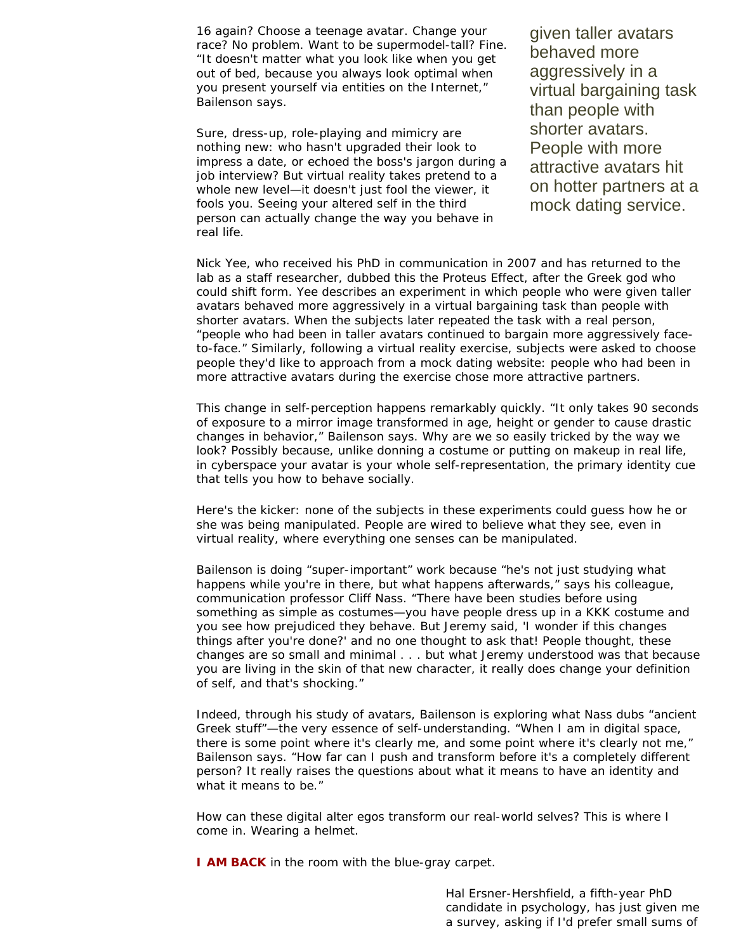16 again? Choose a teenage avatar. Change your race? No problem. Want to be supermodel-tall? Fine. "It doesn't matter what you look like when you get out of bed, because you always look optimal when you present yourself via entities on the Internet," Bailenson says.

Sure, dress-up, role-playing and mimicry are nothing new: who hasn't upgraded their look to impress a date, or echoed the boss's jargon during a job interview? But virtual reality takes pretend to a whole new level—it doesn't just fool the viewer, it fools you. Seeing your altered self in the third person can actually change the way you behave in real life.

given taller avatars behaved more aggressively in a virtual bargaining task than people with shorter avatars. People with more attractive avatars hit on hotter partners at a mock dating service.

Nick Yee, who received his PhD in communication in 2007 and has returned to the lab as a staff researcher, dubbed this the Proteus Effect, after the Greek god who could shift form. Yee describes an experiment in which people who were given taller avatars behaved more aggressively in a virtual bargaining task than people with shorter avatars. When the subjects later repeated the task with a real person, "people who had been in taller avatars continued to bargain more aggressively faceto-face." Similarly, following a virtual reality exercise, subjects were asked to choose people they'd like to approach from a mock dating website: people who had been in more attractive avatars during the exercise chose more attractive partners.

This change in self-perception happens remarkably quickly. "It only takes 90 seconds of exposure to a mirror image transformed in age, height or gender to cause drastic changes in behavior," Bailenson says. Why are we so easily tricked by the way we look? Possibly because, unlike donning a costume or putting on makeup in real life, in cyberspace your avatar is your whole self-representation, the primary identity cue that tells you how to behave socially.

Here's the kicker: none of the subjects in these experiments could guess how he or she was being manipulated. People are wired to believe what they see, even in virtual reality, where everything one senses can be manipulated.

Bailenson is doing "super-important" work because "he's not just studying what happens while you're in there, but what happens afterwards," says his colleague, communication professor Cliff Nass. "There have been studies before using something as simple as costumes—you have people dress up in a KKK costume and you see how prejudiced they behave. But Jeremy said, 'I wonder if this changes things after you're done?' and no one thought to ask that! People thought, these changes are so small and minimal . . . but what Jeremy understood was that because you are living in the skin of that new character, it really does change your definition of self, and that's shocking."

Indeed, through his study of avatars, Bailenson is exploring what Nass dubs "ancient Greek stuff"—the very essence of self-understanding. "When I am in digital space, there is some point where it's clearly me, and some point where it's clearly not me," Bailenson says. "How far can I push and transform before it's a completely different person? It really raises the questions about what it means to have an identity and what it means to be."

How can these digital alter egos transform our real-world selves? This is where I come in. Wearing a helmet.

**I AM BACK** in the room with the blue-gray carpet.

Hal Ersner-Hershfield, a fifth-year PhD candidate in psychology, has just given me a survey, asking if I'd prefer small sums of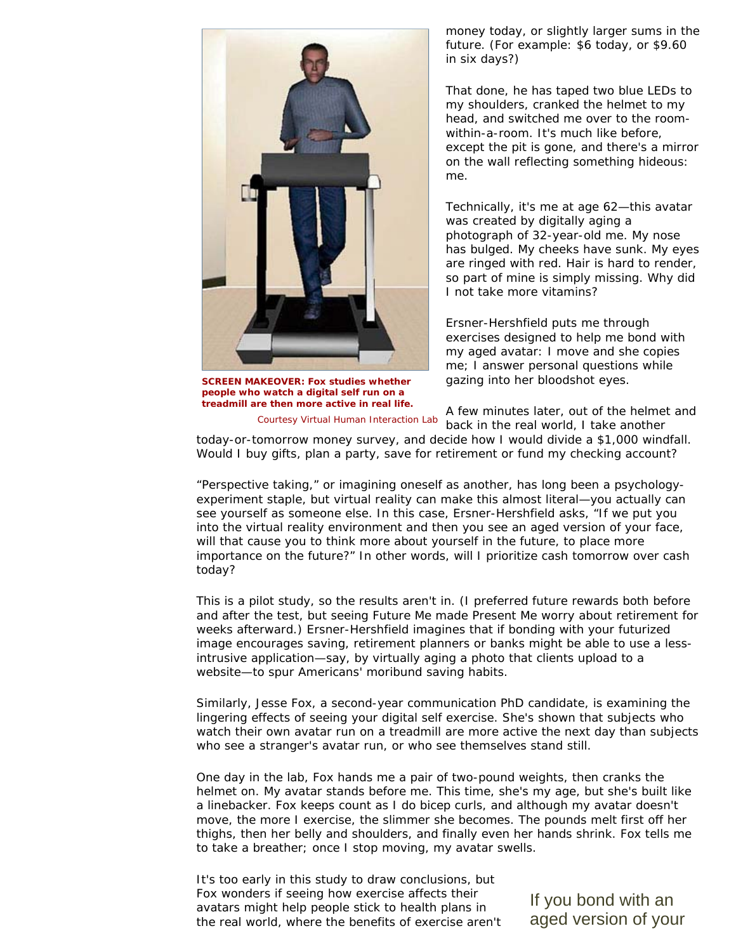

**SCREEN MAKEOVER: Fox studies whether people who watch a digital self run on a treadmill are then more active in real life.** 

Courtesy Virtual Human Interaction Lab

money today, or slightly larger sums in the future. (For example: \$6 today, or \$9.60 in six days?)

That done, he has taped two blue LEDs to my shoulders, cranked the helmet to my head, and switched me over to the roomwithin-a-room. It's much like before, except the pit is gone, and there's a mirror on the wall reflecting something hideous: me.

Technically, it's me at age 62—this avatar was created by digitally aging a photograph of 32-year-old me. My nose has bulged. My cheeks have sunk. My eyes are ringed with red. Hair is hard to render, so part of mine is simply missing. Why did I not take more vitamins?

Ersner-Hershfield puts me through exercises designed to help me bond with my aged avatar: I move and she copies me; I answer personal questions while gazing into her bloodshot eyes.

A few minutes later, out of the helmet and back in the real world, I take another

today-or-tomorrow money survey, and decide how I would divide a \$1,000 windfall. Would I buy gifts, plan a party, save for retirement or fund my checking account?

"Perspective taking," or imagining oneself as another, has long been a psychologyexperiment staple, but virtual reality can make this almost literal—you actually can see yourself as someone else. In this case, Ersner-Hershfield asks, "If we put you into the virtual reality environment and then you see an aged version of your face, will that cause you to think more about yourself in the future, to place more importance on the future?" In other words, will I prioritize cash tomorrow over cash today?

This is a pilot study, so the results aren't in. (I preferred future rewards both before and after the test, but seeing Future Me made Present Me worry about retirement for weeks afterward.) Ersner-Hershfield imagines that if bonding with your futurized image encourages saving, retirement planners or banks might be able to use a lessintrusive application—say, by virtually aging a photo that clients upload to a website—to spur Americans' moribund saving habits.

Similarly, Jesse Fox, a second-year communication PhD candidate, is examining the lingering effects of seeing your digital self exercise. She's shown that subjects who watch their own avatar run on a treadmill are more active the next day than subjects who see a stranger's avatar run, or who see themselves stand still.

One day in the lab, Fox hands me a pair of two-pound weights, then cranks the helmet on. My avatar stands before me. This time, she's my age, but she's built like a linebacker. Fox keeps count as I do bicep curls, and although my avatar doesn't move, the more I exercise, the slimmer she becomes. The pounds melt first off her thighs, then her belly and shoulders, and finally even her hands shrink. Fox tells me to take a breather; once I stop moving, my avatar swells.

It's too early in this study to draw conclusions, but Fox wonders if seeing how exercise affects their avatars might help people stick to health plans in the real world, where the benefits of exercise aren't

If you bond with an aged version of your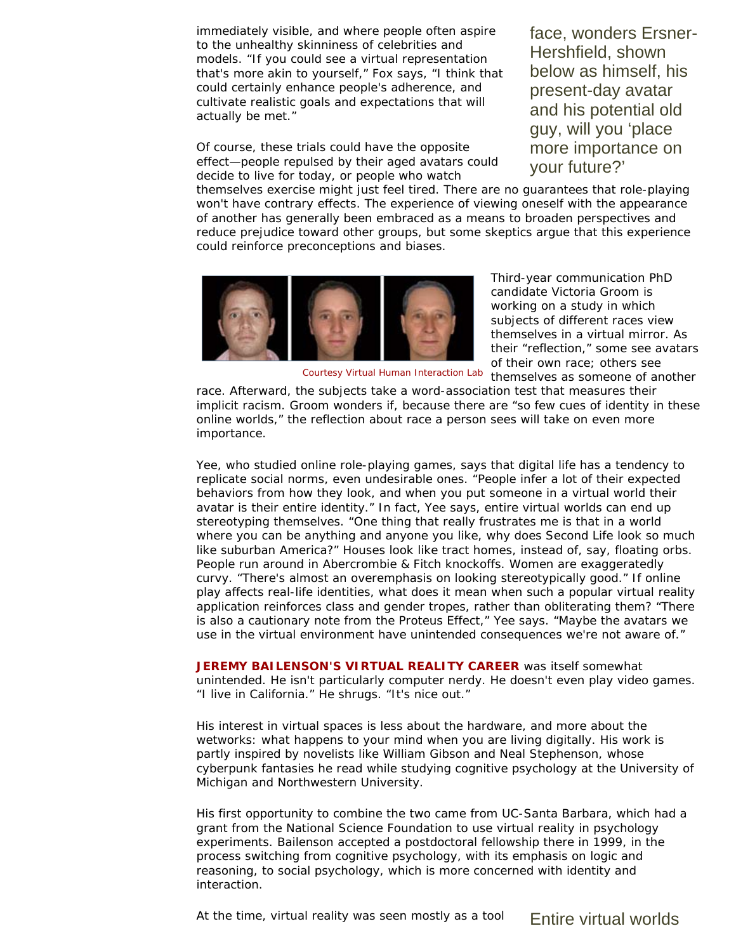immediately visible, and where people often aspire to the unhealthy skinniness of celebrities and models. "If you could see a virtual representation that's more akin to yourself," Fox says, "I think that could certainly enhance people's adherence, and cultivate realistic goals and expectations that will actually be met."

Of course, these trials could have the opposite effect—people repulsed by their aged avatars could decide to live for today, or people who watch

face, wonders Ersner-Hershfield, shown below as himself, his present-day avatar and his potential old guy, will you 'place more importance on your future?'

themselves exercise might just feel tired. There are no guarantees that role-playing won't have contrary effects. The experience of viewing oneself with the appearance of another has generally been embraced as a means to broaden perspectives and reduce prejudice toward other groups, but some skeptics argue that this experience could reinforce preconceptions and biases.



Courtesy Virtual Human Interaction Lab

Third-year communication PhD candidate Victoria Groom is working on a study in which subjects of different races view themselves in a virtual mirror. As their "reflection," some see avatars of their own race; others see themselves as someone of another

race. Afterward, the subjects take a word-association test that measures their implicit racism. Groom wonders if, because there are "so few cues of identity in these online worlds," the reflection about race a person sees will take on even more importance.

Yee, who studied online role-playing games, says that digital life has a tendency to replicate social norms, even undesirable ones. "People infer a lot of their expected behaviors from how they look, and when you put someone in a virtual world their avatar is their entire identity." In fact, Yee says, entire virtual worlds can end up stereotyping themselves. "One thing that really frustrates me is that in a world where you can be anything and anyone you like, why does Second Life look so much like suburban America?" Houses look like tract homes, instead of, say, floating orbs. People run around in Abercrombie & Fitch knockoffs. Women are exaggeratedly curvy. "There's almost an overemphasis on looking stereotypically good." If online play affects real-life identities, what does it mean when such a popular virtual reality application reinforces class and gender tropes, rather than obliterating them? "There is also a cautionary note from the Proteus Effect," Yee says. "Maybe the avatars we use in the virtual environment have unintended consequences we're not aware of."

**JEREMY BAILENSON'S VIRTUAL REALITY CAREER** was itself somewhat unintended. He isn't particularly computer nerdy. He doesn't even play video games. "I live in California." He shrugs. "It's nice out."

His interest in virtual spaces is less about the hardware, and more about the wetworks: what happens to your mind when you are living digitally. His work is partly inspired by novelists like William Gibson and Neal Stephenson, whose cyberpunk fantasies he read while studying cognitive psychology at the University of Michigan and Northwestern University.

His first opportunity to combine the two came from UC-Santa Barbara, which had a grant from the National Science Foundation to use virtual reality in psychology experiments. Bailenson accepted a postdoctoral fellowship there in 1999, in the process switching from cognitive psychology, with its emphasis on logic and reasoning, to social psychology, which is more concerned with identity and interaction.

At the time, virtual reality was seen mostly as a tool Entire virtual worlds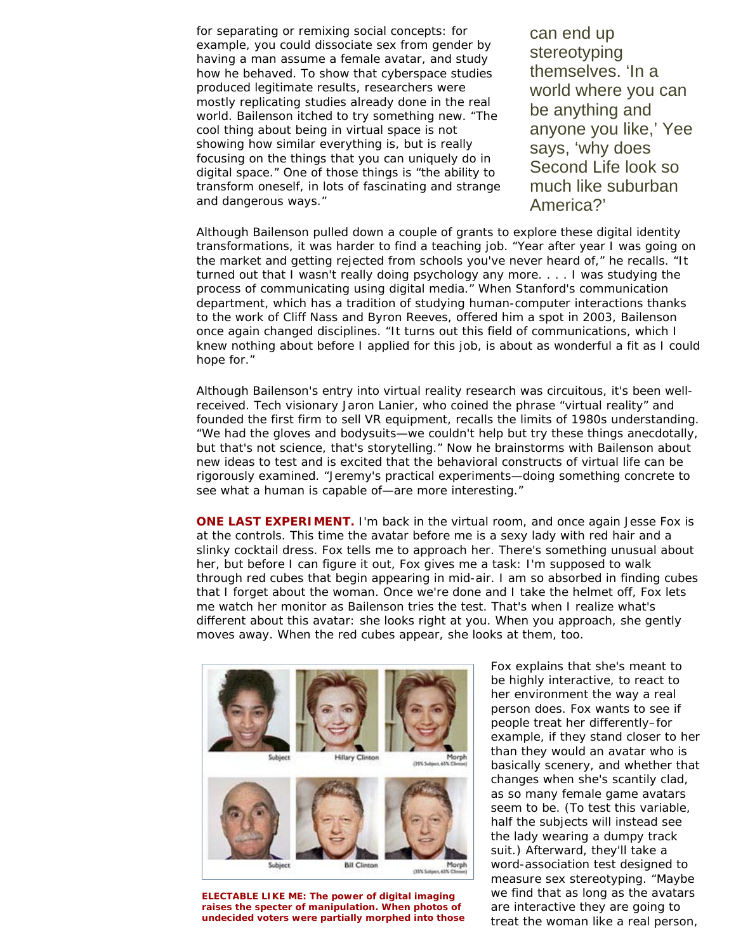for separating or remixing social concepts: for example, you could dissociate sex from gender by having a man assume a female avatar, and study how he behaved. To show that cyberspace studies produced legitimate results, researchers were mostly replicating studies already done in the real world. Bailenson itched to try something new. "The cool thing about being in virtual space is not showing how similar everything is, but is really focusing on the things that you can uniquely do in digital space." One of those things is "the ability to transform oneself, in lots of fascinating and strange and dangerous ways."

can end up stereotyping themselves. 'In a world where you can be anything and anyone you like,' Yee says, 'why does Second Life look so much like suburban America?'

Although Bailenson pulled down a couple of grants to explore these digital identity transformations, it was harder to find a teaching job. "Year after year I was going on the market and getting rejected from schools you've never heard of," he recalls. "It turned out that I wasn't really doing psychology any more. . . . I was studying the process of communicating using digital media." When Stanford's communication department, which has a tradition of studying human-computer interactions thanks to the work of Cliff Nass and Byron Reeves, offered him a spot in 2003, Bailenson once again changed disciplines. "It turns out this field of communications, which I knew nothing about before I applied for this job, is about as wonderful a fit as I could hope for."

Although Bailenson's entry into virtual reality research was circuitous, it's been wellreceived. Tech visionary Jaron Lanier, who coined the phrase "virtual reality" and founded the first firm to sell VR equipment, recalls the limits of 1980s understanding. "We had the gloves and bodysuits—we couldn't help but try these things anecdotally, but that's not science, that's storytelling." Now he brainstorms with Bailenson about new ideas to test and is excited that the behavioral constructs of virtual life can be rigorously examined. "Jeremy's practical experiments—doing something concrete to see what a human is capable of—are more interesting."

**ONE LAST EXPERIMENT.** I'm back in the virtual room, and once again Jesse Fox is at the controls. This time the avatar before me is a sexy lady with red hair and a slinky cocktail dress. Fox tells me to approach her. There's something unusual about her, but before I can figure it out, Fox gives me a task: I'm supposed to walk through red cubes that begin appearing in mid-air. I am so absorbed in finding cubes that I forget about the woman. Once we're done and I take the helmet off, Fox lets me watch her monitor as Bailenson tries the test. That's when I realize what's different about this avatar: she looks right at you. When you approach, she gently moves away. When the red cubes appear, she looks at them, too.



**ELECTABLE LIKE ME: The power of digital imaging raises the specter of manipulation. When photos of undecided voters were partially morphed into those**  Fox explains that she's meant to be highly interactive, to react to her environment the way a real person does. Fox wants to see if people treat her differently–for example, if they stand closer to her than they would an avatar who is basically scenery, and whether that changes when she's scantily clad, as so many female game avatars seem to be. (To test this variable, half the subjects will instead see the lady wearing a dumpy track suit.) Afterward, they'll take a word-association test designed to measure sex stereotyping. "Maybe we find that as long as the avatars are interactive they are going to treat the woman like a real person,